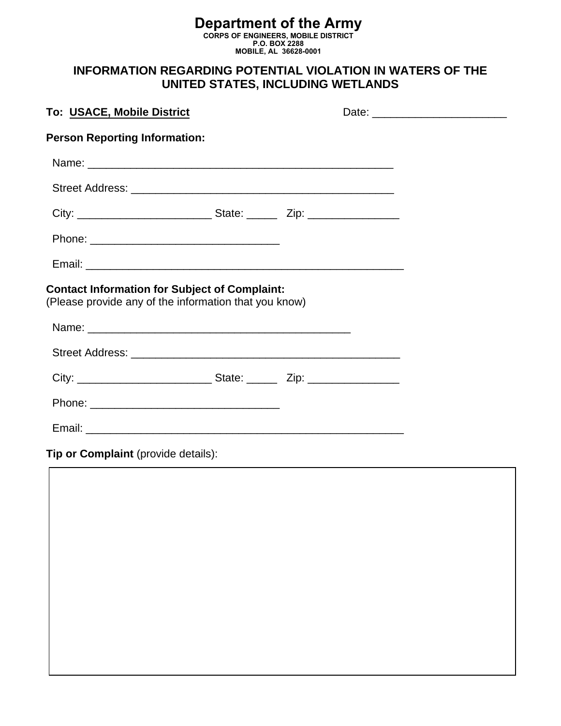#### **Department of the Army CORPS OF ENGINEERS, MOBILE DISTRICT P.O. BOX 2288 MOBILE, AL 36628-0001**

# **INFORMATION REGARDING POTENTIAL VIOLATION IN WATERS OF THE UNITED STATES, INCLUDING WETLANDS**

| To: USACE, Mobile District                                                                                    |  | Date: __________________________ |
|---------------------------------------------------------------------------------------------------------------|--|----------------------------------|
| <b>Person Reporting Information:</b>                                                                          |  |                                  |
|                                                                                                               |  |                                  |
|                                                                                                               |  |                                  |
|                                                                                                               |  |                                  |
|                                                                                                               |  |                                  |
|                                                                                                               |  |                                  |
| <b>Contact Information for Subject of Complaint:</b><br>(Please provide any of the information that you know) |  |                                  |
|                                                                                                               |  |                                  |
|                                                                                                               |  |                                  |
|                                                                                                               |  |                                  |
|                                                                                                               |  |                                  |
|                                                                                                               |  |                                  |

**Tip or Complaint** (provide details):